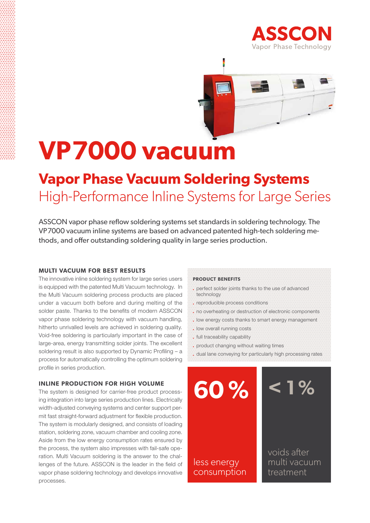



# **VP7000 vacuum**

### **Vapor Phase Vacuum Soldering Systems** High-Performance Inline Systems for Large Series

ASSCON vapor phase reflow soldering systems set standards in soldering technology. The VP7000 vacuum inline systems are based on advanced patented high-tech soldering methods, and offer outstanding soldering quality in large series production.

#### **multi vacuum for best results**

The innovative inline soldering system for large series users is equipped with the patented Multi Vacuum technology. In the Multi Vacuum soldering process products are placed under a vacuum both before and during melting of the solder paste. Thanks to the benefits of modern ASSCON vapor phase soldering technology with vacuum handling, hitherto unrivalled levels are achieved in soldering quality. Void-free soldering is particularly important in the case of large-area, energy transmitting solder joints. The excellent soldering result is also supported by Dynamic Profiling – a process for automatically controlling the optimum soldering profile in series production.

#### **inline production for high volume**

The system is designed for carrier-free product processing integration into large series production lines. Electrically width-adjusted conveying systems and center support permit fast straight-forward adjustment for flexible production. The system is modularly designed, and consists of loading station, soldering zone, vacuum chamber and cooling zone. Aside from the low energy consumption rates ensured by the process, the system also impresses with fail-safe operation. Multi Vacuum soldering is the answer to the challenges of the future. ASSCON is the leader in the field of vapor phase soldering technology and develops innovative processes.

#### **product benefits**

- perfect solder joints thanks to the use of advanced technology
- reproducible process conditions
- no overheating or destruction of electronic components
- . low energy costs thanks to smart energy management
- . low overall running costs
- full traceability capability
- product changing without waiting times
- dual lane conveying for particularly high processing rates